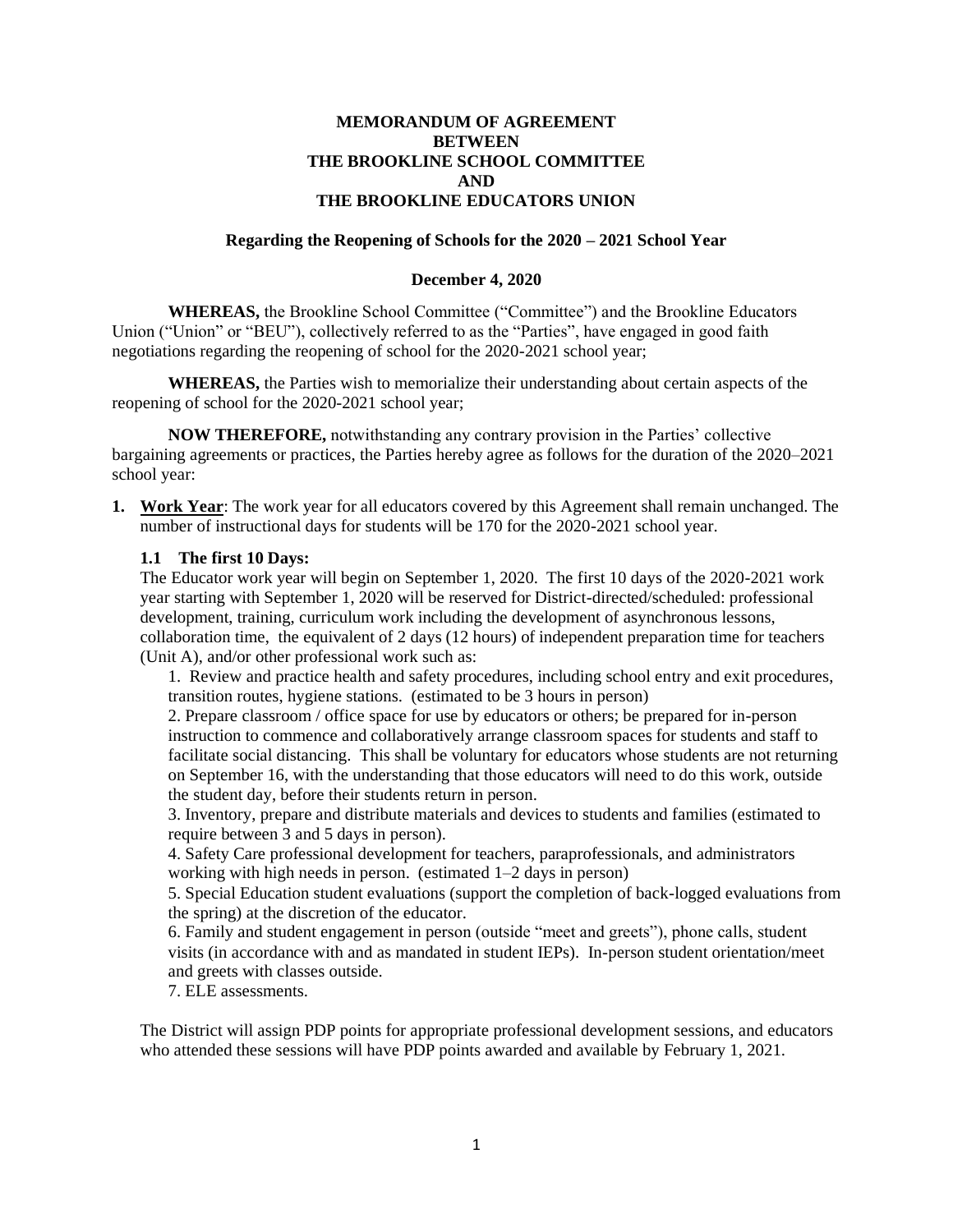## **MEMORANDUM OF AGREEMENT BETWEEN THE BROOKLINE SCHOOL COMMITTEE AND THE BROOKLINE EDUCATORS UNION**

#### **Regarding the Reopening of Schools for the 2020 – 2021 School Year**

#### **December 4, 2020**

**WHEREAS,** the Brookline School Committee ("Committee") and the Brookline Educators Union ("Union" or "BEU"), collectively referred to as the "Parties", have engaged in good faith negotiations regarding the reopening of school for the 2020-2021 school year;

**WHEREAS,** the Parties wish to memorialize their understanding about certain aspects of the reopening of school for the 2020-2021 school year;

**NOW THEREFORE,** notwithstanding any contrary provision in the Parties' collective bargaining agreements or practices, the Parties hereby agree as follows for the duration of the 2020–2021 school year:

**1. Work Year**: The work year for all educators covered by this Agreement shall remain unchanged. The number of instructional days for students will be 170 for the 2020-2021 school year.

#### **1.1 The first 10 Days:**

The Educator work year will begin on September 1, 2020. The first 10 days of the 2020-2021 work year starting with September 1, 2020 will be reserved for District-directed/scheduled: professional development, training, curriculum work including the development of asynchronous lessons, collaboration time, the equivalent of 2 days (12 hours) of independent preparation time for teachers (Unit A), and/or other professional work such as:

1. Review and practice health and safety procedures, including school entry and exit procedures, transition routes, hygiene stations. (estimated to be 3 hours in person)

2. Prepare classroom / office space for use by educators or others; be prepared for in-person instruction to commence and collaboratively arrange classroom spaces for students and staff to facilitate social distancing. This shall be voluntary for educators whose students are not returning on September 16, with the understanding that those educators will need to do this work, outside the student day, before their students return in person.

3. Inventory, prepare and distribute materials and devices to students and families (estimated to require between 3 and 5 days in person).

4. Safety Care professional development for teachers, paraprofessionals, and administrators working with high needs in person. (estimated 1–2 days in person)

5. Special Education student evaluations (support the completion of back-logged evaluations from the spring) at the discretion of the educator.

6. Family and student engagement in person (outside "meet and greets"), phone calls, student visits (in accordance with and as mandated in student IEPs). In-person student orientation/meet and greets with classes outside.

7. ELE assessments.

The District will assign PDP points for appropriate professional development sessions, and educators who attended these sessions will have PDP points awarded and available by February 1, 2021.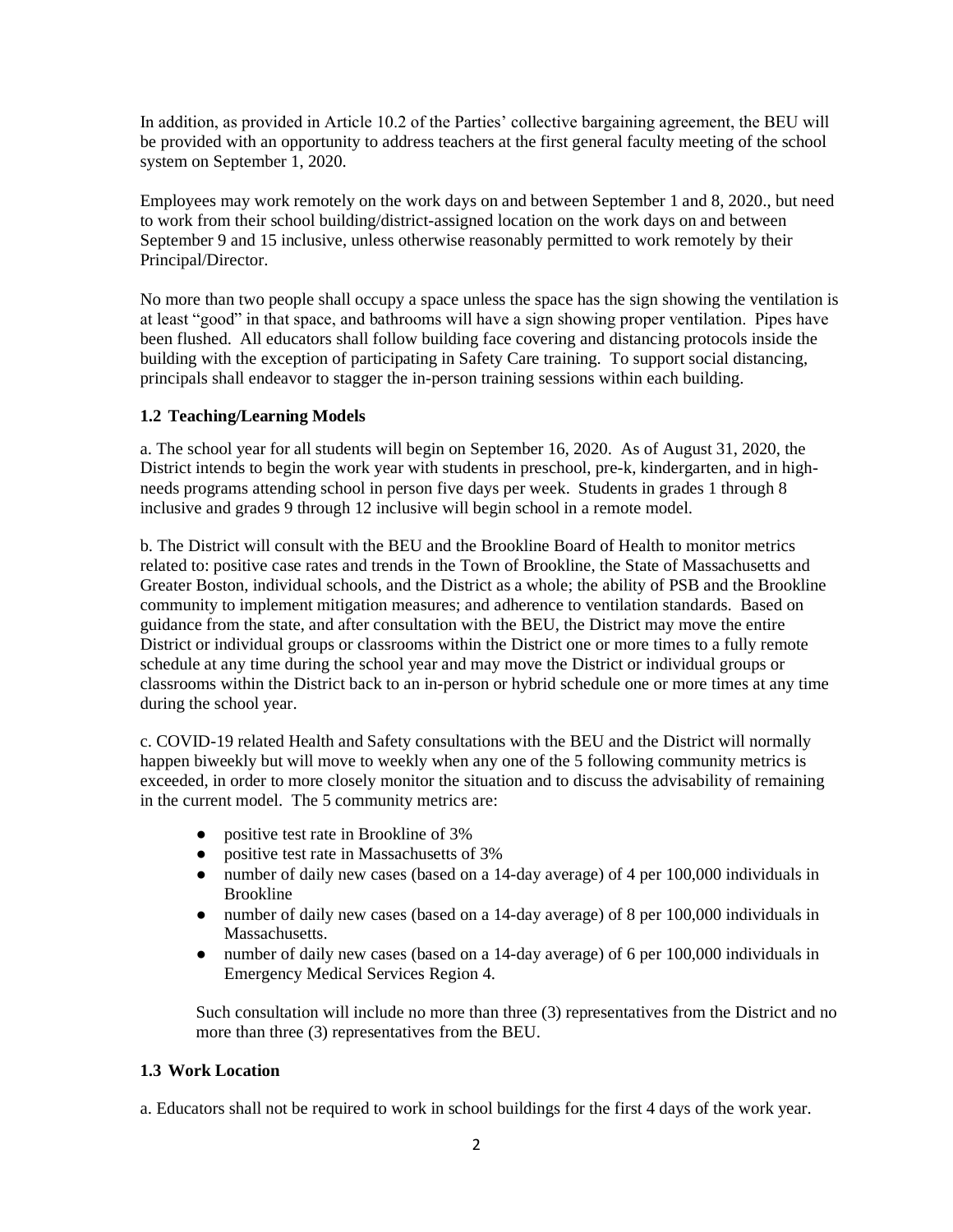In addition, as provided in Article 10.2 of the Parties' collective bargaining agreement, the BEU will be provided with an opportunity to address teachers at the first general faculty meeting of the school system on September 1, 2020.

Employees may work remotely on the work days on and between September 1 and 8, 2020., but need to work from their school building/district-assigned location on the work days on and between September 9 and 15 inclusive, unless otherwise reasonably permitted to work remotely by their Principal/Director.

No more than two people shall occupy a space unless the space has the sign showing the ventilation is at least "good" in that space, and bathrooms will have a sign showing proper ventilation. Pipes have been flushed. All educators shall follow building face covering and distancing protocols inside the building with the exception of participating in Safety Care training. To support social distancing, principals shall endeavor to stagger the in-person training sessions within each building.

# **1.2 Teaching/Learning Models**

a. The school year for all students will begin on September 16, 2020. As of August 31, 2020, the District intends to begin the work year with students in preschool, pre-k, kindergarten, and in highneeds programs attending school in person five days per week. Students in grades 1 through 8 inclusive and grades 9 through 12 inclusive will begin school in a remote model.

b. The District will consult with the BEU and the Brookline Board of Health to monitor metrics related to: positive case rates and trends in the Town of Brookline, the State of Massachusetts and Greater Boston, individual schools, and the District as a whole; the ability of PSB and the Brookline community to implement mitigation measures; and adherence to ventilation standards. Based on guidance from the state, and after consultation with the BEU, the District may move the entire District or individual groups or classrooms within the District one or more times to a fully remote schedule at any time during the school year and may move the District or individual groups or classrooms within the District back to an in-person or hybrid schedule one or more times at any time during the school year.

c. COVID-19 related Health and Safety consultations with the BEU and the District will normally happen biweekly but will move to weekly when any one of the 5 following community metrics is exceeded, in order to more closely monitor the situation and to discuss the advisability of remaining in the current model. The 5 community metrics are:

- positive test rate in Brookline of 3%
- positive test rate in Massachusetts of 3%
- number of daily new cases (based on a 14-day average) of 4 per 100,000 individuals in Brookline
- number of daily new cases (based on a 14-day average) of 8 per 100,000 individuals in Massachusetts.
- number of daily new cases (based on a 14-day average) of 6 per 100,000 individuals in Emergency Medical Services Region 4.

Such consultation will include no more than three (3) representatives from the District and no more than three (3) representatives from the BEU.

## **1.3 Work Location**

a. Educators shall not be required to work in school buildings for the first 4 days of the work year.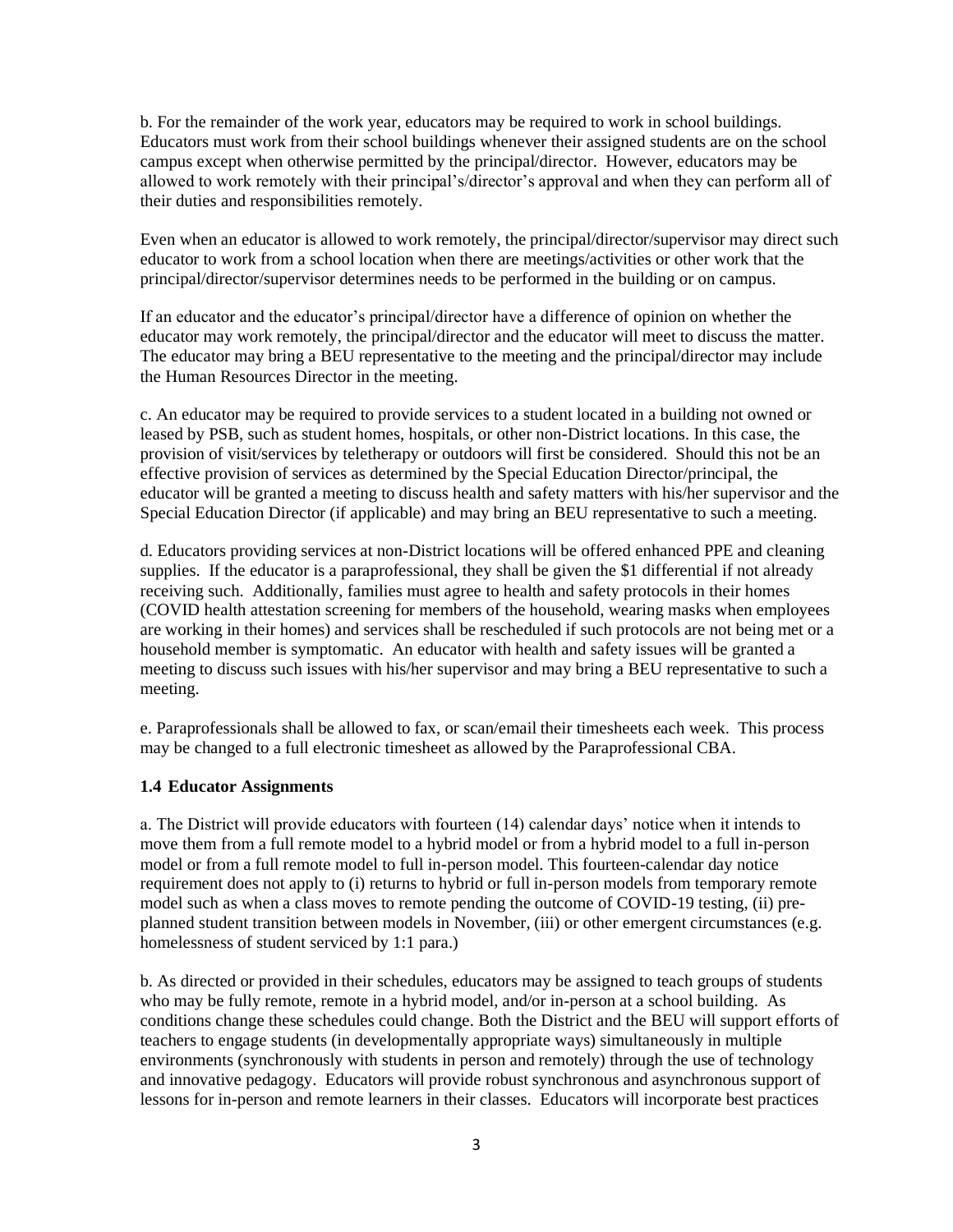b. For the remainder of the work year, educators may be required to work in school buildings. Educators must work from their school buildings whenever their assigned students are on the school campus except when otherwise permitted by the principal/director. However, educators may be allowed to work remotely with their principal's/director's approval and when they can perform all of their duties and responsibilities remotely.

Even when an educator is allowed to work remotely, the principal/director/supervisor may direct such educator to work from a school location when there are meetings/activities or other work that the principal/director/supervisor determines needs to be performed in the building or on campus.

If an educator and the educator's principal/director have a difference of opinion on whether the educator may work remotely, the principal/director and the educator will meet to discuss the matter. The educator may bring a BEU representative to the meeting and the principal/director may include the Human Resources Director in the meeting.

c. An educator may be required to provide services to a student located in a building not owned or leased by PSB, such as student homes, hospitals, or other non-District locations. In this case, the provision of visit/services by teletherapy or outdoors will first be considered. Should this not be an effective provision of services as determined by the Special Education Director/principal, the educator will be granted a meeting to discuss health and safety matters with his/her supervisor and the Special Education Director (if applicable) and may bring an BEU representative to such a meeting.

d. Educators providing services at non-District locations will be offered enhanced PPE and cleaning supplies. If the educator is a paraprofessional, they shall be given the \$1 differential if not already receiving such. Additionally, families must agree to health and safety protocols in their homes (COVID health attestation screening for members of the household, wearing masks when employees are working in their homes) and services shall be rescheduled if such protocols are not being met or a household member is symptomatic. An educator with health and safety issues will be granted a meeting to discuss such issues with his/her supervisor and may bring a BEU representative to such a meeting.

e. Paraprofessionals shall be allowed to fax, or scan/email their timesheets each week. This process may be changed to a full electronic timesheet as allowed by the Paraprofessional CBA.

## **1.4 Educator Assignments**

a. The District will provide educators with fourteen (14) calendar days' notice when it intends to move them from a full remote model to a hybrid model or from a hybrid model to a full in-person model or from a full remote model to full in-person model. This fourteen-calendar day notice requirement does not apply to (i) returns to hybrid or full in-person models from temporary remote model such as when a class moves to remote pending the outcome of COVID-19 testing, (ii) preplanned student transition between models in November, (iii) or other emergent circumstances (e.g. homelessness of student serviced by 1:1 para.)

b. As directed or provided in their schedules, educators may be assigned to teach groups of students who may be fully remote, remote in a hybrid model, and/or in-person at a school building. As conditions change these schedules could change. Both the District and the BEU will support efforts of teachers to engage students (in developmentally appropriate ways) simultaneously in multiple environments (synchronously with students in person and remotely) through the use of technology and innovative pedagogy. Educators will provide robust synchronous and asynchronous support of lessons for in-person and remote learners in their classes. Educators will incorporate best practices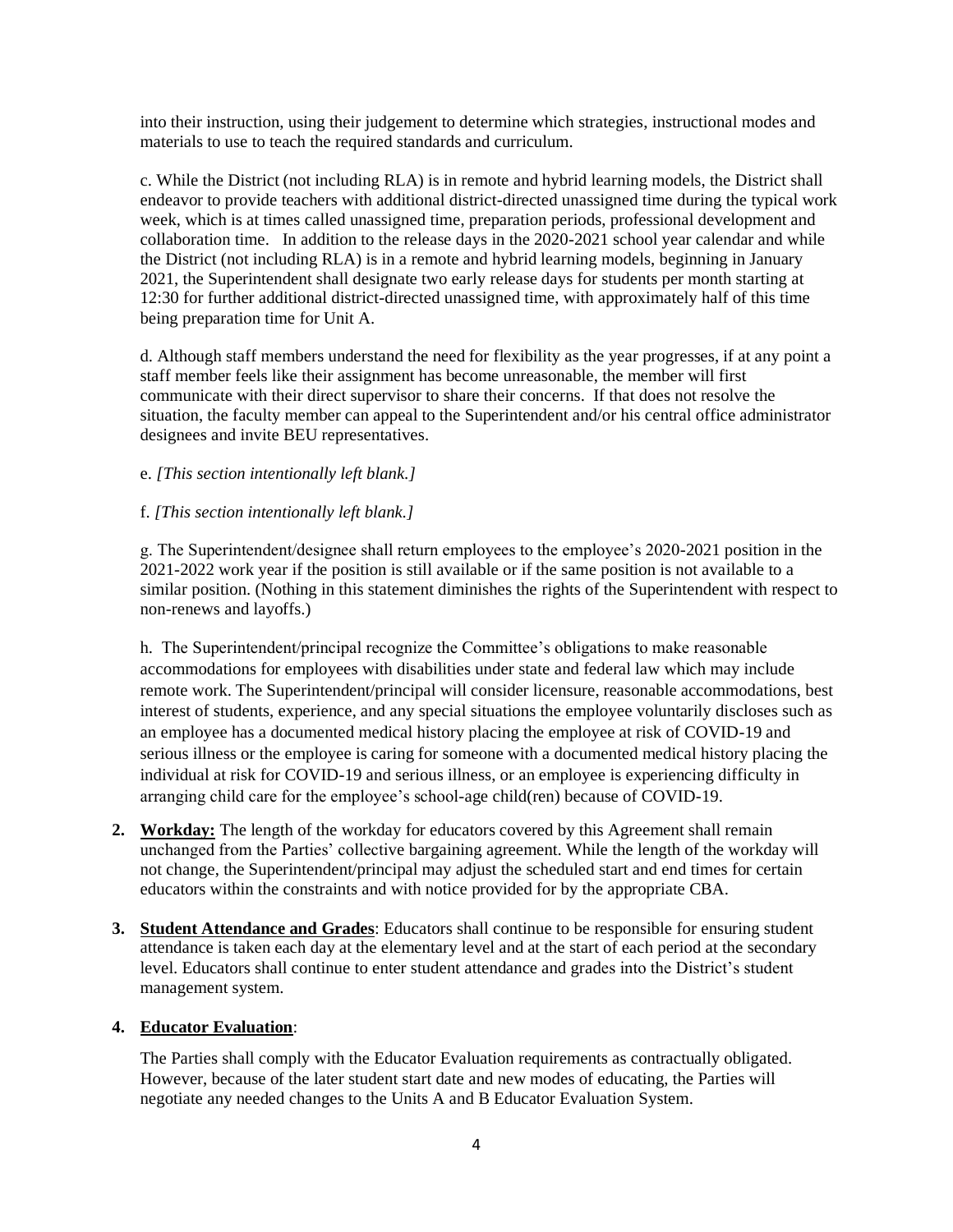into their instruction, using their judgement to determine which strategies, instructional modes and materials to use to teach the required standards and curriculum.

c. While the District (not including RLA) is in remote and hybrid learning models, the District shall endeavor to provide teachers with additional district-directed unassigned time during the typical work week, which is at times called unassigned time, preparation periods, professional development and collaboration time. In addition to the release days in the 2020-2021 school year calendar and while the District (not including RLA) is in a remote and hybrid learning models, beginning in January 2021, the Superintendent shall designate two early release days for students per month starting at 12:30 for further additional district-directed unassigned time, with approximately half of this time being preparation time for Unit A.

d. Although staff members understand the need for flexibility as the year progresses, if at any point a staff member feels like their assignment has become unreasonable, the member will first communicate with their direct supervisor to share their concerns. If that does not resolve the situation, the faculty member can appeal to the Superintendent and/or his central office administrator designees and invite BEU representatives.

## e. *[This section intentionally left blank.]*

# f. *[This section intentionally left blank.]*

g. The Superintendent/designee shall return employees to the employee's 2020-2021 position in the 2021-2022 work year if the position is still available or if the same position is not available to a similar position. (Nothing in this statement diminishes the rights of the Superintendent with respect to non-renews and layoffs.)

h. The Superintendent/principal recognize the Committee's obligations to make reasonable accommodations for employees with disabilities under state and federal law which may include remote work. The Superintendent/principal will consider licensure, reasonable accommodations, best interest of students, experience, and any special situations the employee voluntarily discloses such as an employee has a documented medical history placing the employee at risk of COVID-19 and serious illness or the employee is caring for someone with a documented medical history placing the individual at risk for COVID-19 and serious illness, or an employee is experiencing difficulty in arranging child care for the employee's school-age child(ren) because of COVID-19.

- **2. Workday:** The length of the workday for educators covered by this Agreement shall remain unchanged from the Parties' collective bargaining agreement. While the length of the workday will not change, the Superintendent/principal may adjust the scheduled start and end times for certain educators within the constraints and with notice provided for by the appropriate CBA.
- **3. Student Attendance and Grades**: Educators shall continue to be responsible for ensuring student attendance is taken each day at the elementary level and at the start of each period at the secondary level. Educators shall continue to enter student attendance and grades into the District's student management system.

## **4. Educator Evaluation**:

The Parties shall comply with the Educator Evaluation requirements as contractually obligated. However, because of the later student start date and new modes of educating, the Parties will negotiate any needed changes to the Units A and B Educator Evaluation System.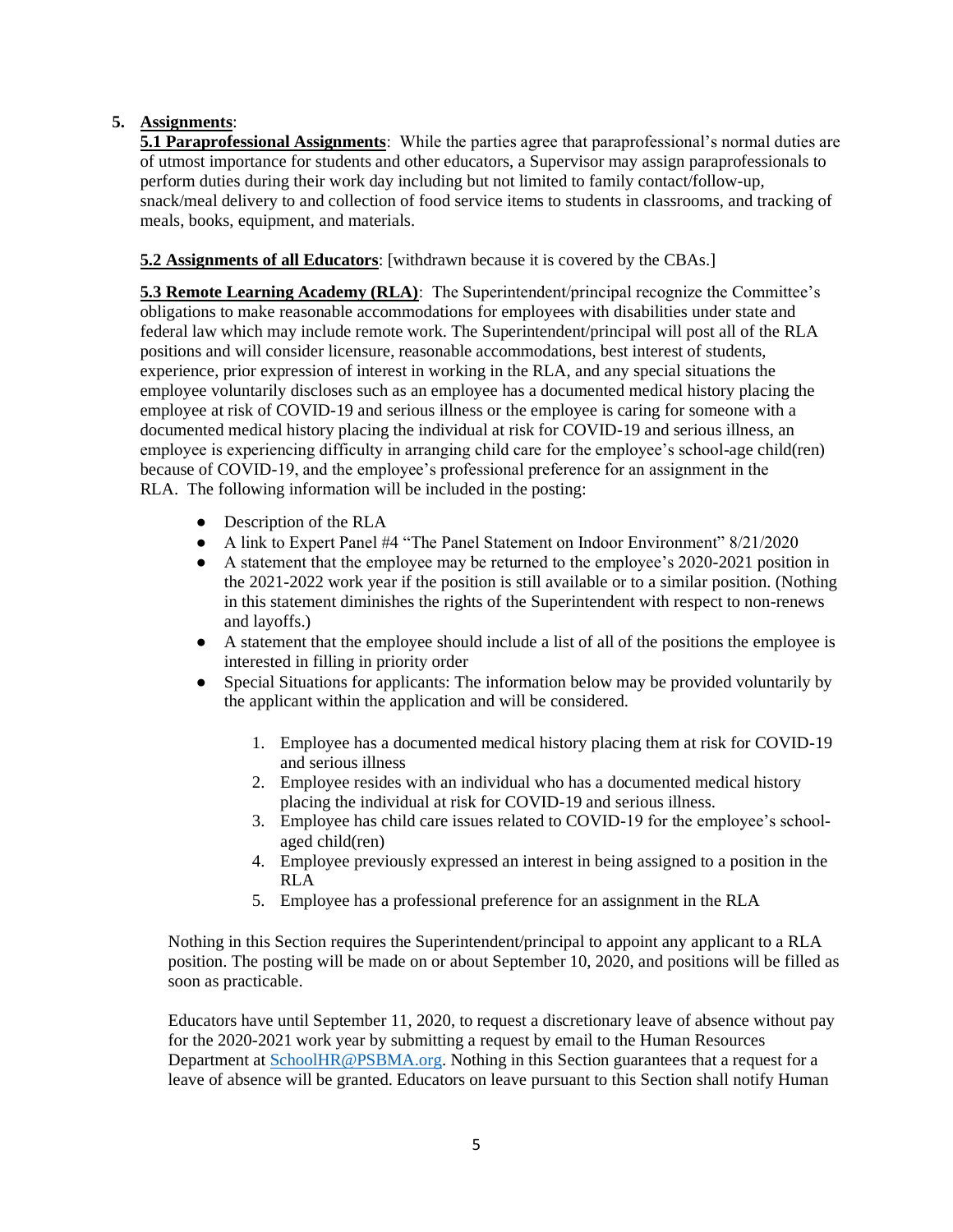# **5. Assignments**:

**5.1 Paraprofessional Assignments**: While the parties agree that paraprofessional's normal duties are of utmost importance for students and other educators, a Supervisor may assign paraprofessionals to perform duties during their work day including but not limited to family contact/follow-up, snack/meal delivery to and collection of food service items to students in classrooms, and tracking of meals, books, equipment, and materials.

# **5.2 Assignments of all Educators**: [withdrawn because it is covered by the CBAs.]

**5.3 Remote Learning Academy (RLA)**: The Superintendent/principal recognize the Committee's obligations to make reasonable accommodations for employees with disabilities under state and federal law which may include remote work. The Superintendent/principal will post all of the RLA positions and will consider licensure, reasonable accommodations, best interest of students, experience, prior expression of interest in working in the RLA, and any special situations the employee voluntarily discloses such as an employee has a documented medical history placing the employee at risk of COVID-19 and serious illness or the employee is caring for someone with a documented medical history placing the individual at risk for COVID-19 and serious illness, an employee is experiencing difficulty in arranging child care for the employee's school-age child(ren) because of COVID-19, and the employee's professional preference for an assignment in the RLA. The following information will be included in the posting:

- Description of the RLA
- A link to Expert Panel #4 "The Panel Statement on Indoor Environment" 8/21/2020
- A statement that the employee may be returned to the employee's 2020-2021 position in the 2021-2022 work year if the position is still available or to a similar position. (Nothing in this statement diminishes the rights of the Superintendent with respect to non-renews and layoffs.)
- A statement that the employee should include a list of all of the positions the employee is interested in filling in priority order
- Special Situations for applicants: The information below may be provided voluntarily by the applicant within the application and will be considered.
	- 1. Employee has a documented medical history placing them at risk for COVID-19 and serious illness
	- 2. Employee resides with an individual who has a documented medical history placing the individual at risk for COVID-19 and serious illness.
	- 3. Employee has child care issues related to COVID-19 for the employee's schoolaged child(ren)
	- 4. Employee previously expressed an interest in being assigned to a position in the RLA
	- 5. Employee has a professional preference for an assignment in the RLA

Nothing in this Section requires the Superintendent/principal to appoint any applicant to a RLA position. The posting will be made on or about September 10, 2020, and positions will be filled as soon as practicable.

Educators have until September 11, 2020, to request a discretionary leave of absence without pay for the 2020-2021 work year by submitting a request by email to the Human Resources Department at [SchoolHR@PSBMA.org.](mailto:SchoolHR@PSBMA.org) Nothing in this Section guarantees that a request for a leave of absence will be granted. Educators on leave pursuant to this Section shall notify Human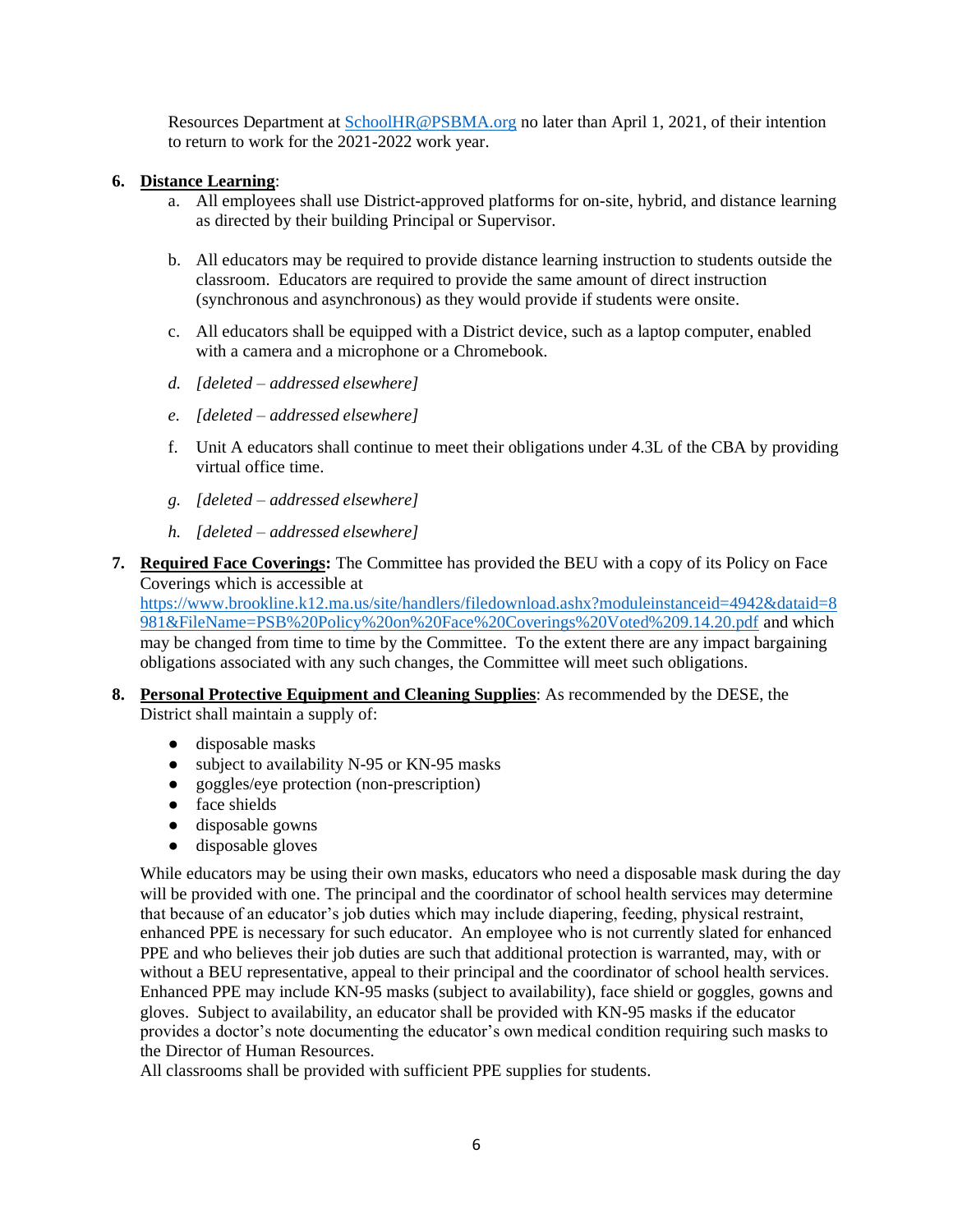Resources Department at [SchoolHR@PSBMA.org](mailto:SchoolHR@PSBMA.org) no later than April 1, 2021, of their intention to return to work for the 2021-2022 work year.

#### **6. Distance Learning**:

- a. All employees shall use District-approved platforms for on-site, hybrid, and distance learning as directed by their building Principal or Supervisor.
- b. All educators may be required to provide distance learning instruction to students outside the classroom. Educators are required to provide the same amount of direct instruction (synchronous and asynchronous) as they would provide if students were onsite.
- c. All educators shall be equipped with a District device, such as a laptop computer, enabled with a camera and a microphone or a Chromebook.
- *d. [deleted – addressed elsewhere]*
- *e. [deleted – addressed elsewhere]*
- f. Unit A educators shall continue to meet their obligations under 4.3L of the CBA by providing virtual office time.
- *g. [deleted – addressed elsewhere]*
- *h. [deleted – addressed elsewhere]*
- **7. Required Face Coverings:** The Committee has provided the BEU with a copy of its Policy on Face Coverings which is accessible at

[https://www.brookline.k12.ma.us/site/handlers/filedownload.ashx?moduleinstanceid=4942&dataid=8](https://www.brookline.k12.ma.us/site/handlers/filedownload.ashx?moduleinstanceid=4942&dataid=8981&FileName=PSB%20Policy%20on%20Face%20Coverings%20Voted%209.14.20.pdf) [981&FileName=PSB%20Policy%20on%20Face%20Coverings%20Voted%209.14.20.pdf](https://www.brookline.k12.ma.us/site/handlers/filedownload.ashx?moduleinstanceid=4942&dataid=8981&FileName=PSB%20Policy%20on%20Face%20Coverings%20Voted%209.14.20.pdf) and which may be changed from time to time by the Committee. To the extent there are any impact bargaining obligations associated with any such changes, the Committee will meet such obligations.

- **8. Personal Protective Equipment and Cleaning Supplies**: As recommended by the DESE, the District shall maintain a supply of:
	- disposable masks
	- subject to availability N-95 or KN-95 masks
	- goggles/eye protection (non-prescription)
	- face shields
	- disposable gowns
	- disposable gloves

While educators may be using their own masks, educators who need a disposable mask during the day will be provided with one. The principal and the coordinator of school health services may determine that because of an educator's job duties which may include diapering, feeding, physical restraint, enhanced PPE is necessary for such educator. An employee who is not currently slated for enhanced PPE and who believes their job duties are such that additional protection is warranted, may, with or without a BEU representative, appeal to their principal and the coordinator of school health services. Enhanced PPE may include KN-95 masks (subject to availability), face shield or goggles, gowns and gloves. Subject to availability, an educator shall be provided with KN-95 masks if the educator provides a doctor's note documenting the educator's own medical condition requiring such masks to the Director of Human Resources.

All classrooms shall be provided with sufficient PPE supplies for students.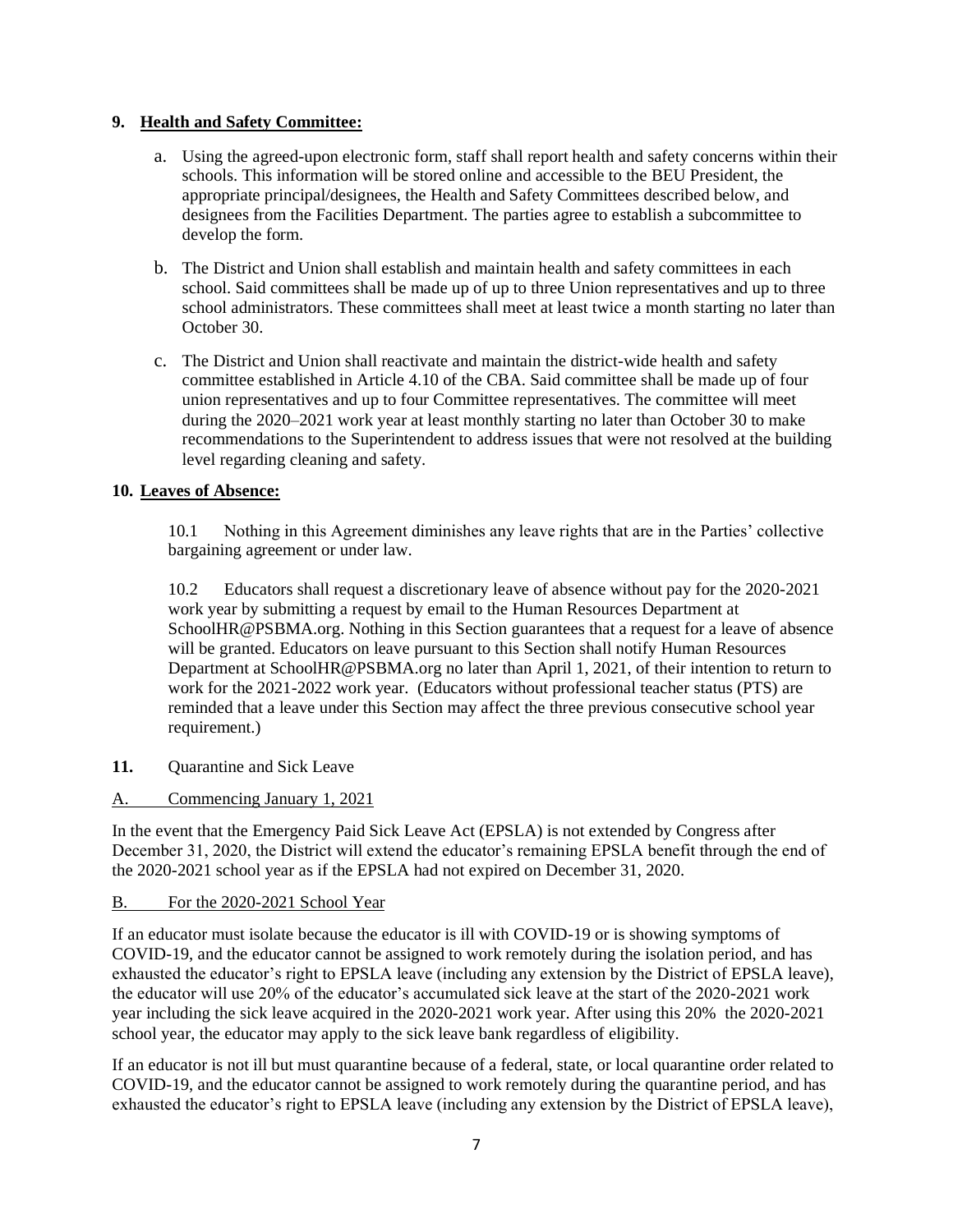## **9. Health and Safety Committee:**

- a. Using the agreed-upon electronic form, staff shall report health and safety concerns within their schools. This information will be stored online and accessible to the BEU President, the appropriate principal/designees, the Health and Safety Committees described below, and designees from the Facilities Department. The parties agree to establish a subcommittee to develop the form.
- b. The District and Union shall establish and maintain health and safety committees in each school. Said committees shall be made up of up to three Union representatives and up to three school administrators. These committees shall meet at least twice a month starting no later than October 30.
- c. The District and Union shall reactivate and maintain the district-wide health and safety committee established in Article 4.10 of the CBA. Said committee shall be made up of four union representatives and up to four Committee representatives. The committee will meet during the 2020–2021 work year at least monthly starting no later than October 30 to make recommendations to the Superintendent to address issues that were not resolved at the building level regarding cleaning and safety.

# **10. Leaves of Absence:**

10.1 Nothing in this Agreement diminishes any leave rights that are in the Parties' collective bargaining agreement or under law.

10.2 Educators shall request a discretionary leave of absence without pay for the 2020-2021 work year by submitting a request by email to the Human Resources Department at SchoolHR@PSBMA.org. Nothing in this Section guarantees that a request for a leave of absence will be granted. Educators on leave pursuant to this Section shall notify Human Resources Department at SchoolHR@PSBMA.org no later than April 1, 2021, of their intention to return to work for the 2021-2022 work year. (Educators without professional teacher status (PTS) are reminded that a leave under this Section may affect the three previous consecutive school year requirement.)

- **11.** Quarantine and Sick Leave
- A. Commencing January 1, 2021

In the event that the Emergency Paid Sick Leave Act (EPSLA) is not extended by Congress after December 31, 2020, the District will extend the educator's remaining EPSLA benefit through the end of the 2020-2021 school year as if the EPSLA had not expired on December 31, 2020.

## B. For the 2020-2021 School Year

If an educator must isolate because the educator is ill with COVID-19 or is showing symptoms of COVID-19, and the educator cannot be assigned to work remotely during the isolation period, and has exhausted the educator's right to EPSLA leave (including any extension by the District of EPSLA leave), the educator will use 20% of the educator's accumulated sick leave at the start of the 2020-2021 work year including the sick leave acquired in the 2020-2021 work year. After using this 20% the 2020-2021 school year, the educator may apply to the sick leave bank regardless of eligibility.

If an educator is not ill but must quarantine because of a federal, state, or local quarantine order related to COVID-19, and the educator cannot be assigned to work remotely during the quarantine period, and has exhausted the educator's right to EPSLA leave (including any extension by the District of EPSLA leave),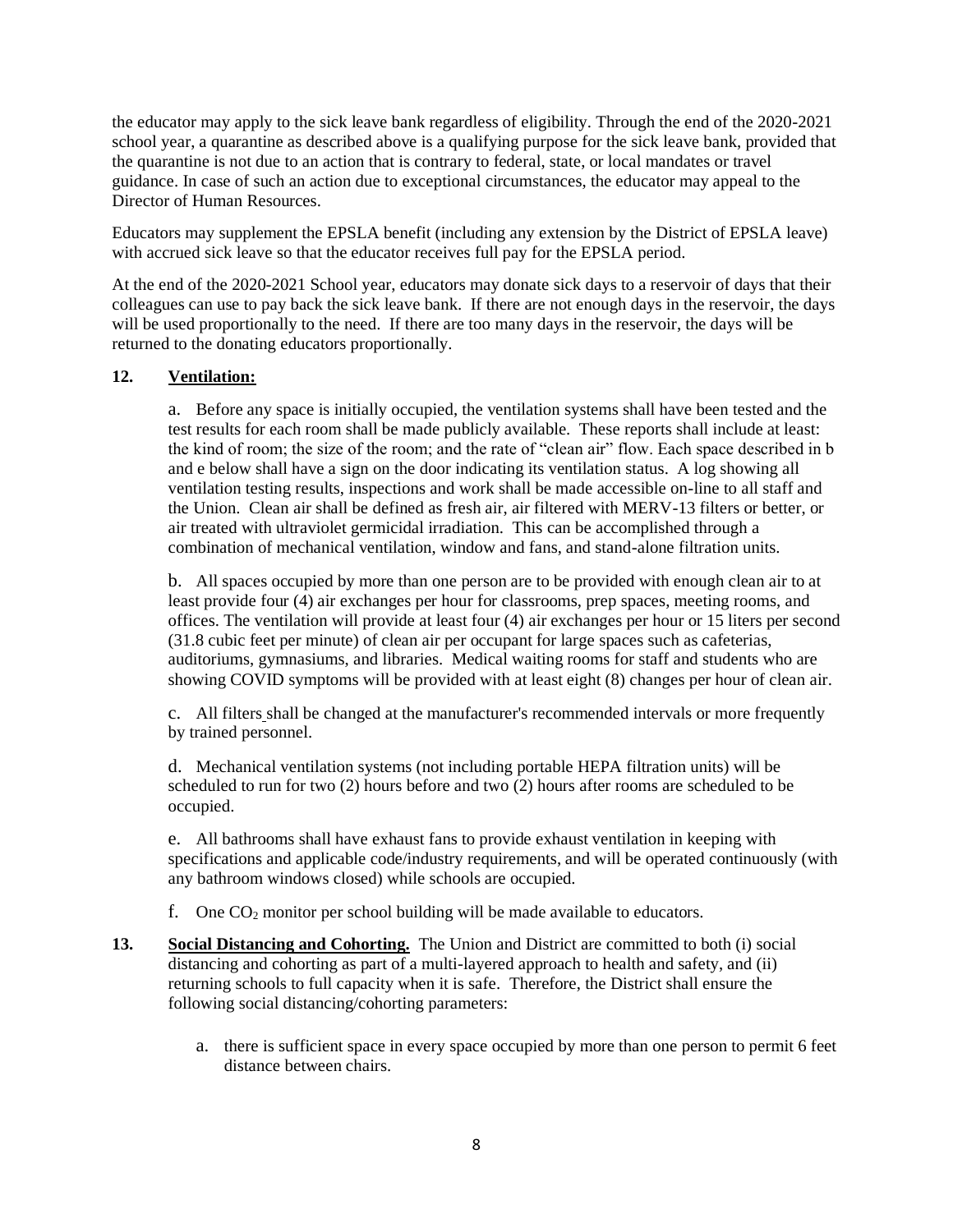the educator may apply to the sick leave bank regardless of eligibility. Through the end of the 2020-2021 school year, a quarantine as described above is a qualifying purpose for the sick leave bank, provided that the quarantine is not due to an action that is contrary to federal, state, or local mandates or travel guidance. In case of such an action due to exceptional circumstances, the educator may appeal to the Director of Human Resources.

Educators may supplement the EPSLA benefit (including any extension by the District of EPSLA leave) with accrued sick leave so that the educator receives full pay for the EPSLA period.

At the end of the 2020-2021 School year, educators may donate sick days to a reservoir of days that their colleagues can use to pay back the sick leave bank. If there are not enough days in the reservoir, the days will be used proportionally to the need. If there are too many days in the reservoir, the days will be returned to the donating educators proportionally.

# **12. Ventilation:**

a. Before any space is initially occupied, the ventilation systems shall have been tested and the test results for each room shall be made publicly available. These reports shall include at least: the kind of room; the size of the room; and the rate of "clean air" flow. Each space described in b and e below shall have a sign on the door indicating its ventilation status. A log showing all ventilation testing results, inspections and work shall be made accessible on-line to all staff and the Union. Clean air shall be defined as fresh air, air filtered with MERV-13 filters or better, or air treated with ultraviolet germicidal irradiation. This can be accomplished through a combination of mechanical ventilation, window and fans, and stand-alone filtration units.

b. All spaces occupied by more than one person are to be provided with enough clean air to at least provide four (4) air exchanges per hour for classrooms, prep spaces, meeting rooms, and offices. The ventilation will provide at least four (4) air exchanges per hour or 15 liters per second (31.8 cubic feet per minute) of clean air per occupant for large spaces such as cafeterias, auditoriums, gymnasiums, and libraries. Medical waiting rooms for staff and students who are showing COVID symptoms will be provided with at least eight (8) changes per hour of clean air.

c. All filters shall be changed at the manufacturer's recommended intervals or more frequently by trained personnel.

d. Mechanical ventilation systems (not including portable HEPA filtration units) will be scheduled to run for two (2) hours before and two (2) hours after rooms are scheduled to be occupied.

e. All bathrooms shall have exhaust fans to provide exhaust ventilation in keeping with specifications and applicable code/industry requirements, and will be operated continuously (with any bathroom windows closed) while schools are occupied.

f. One  $CO<sub>2</sub>$  monitor per school building will be made available to educators.

- **13. Social Distancing and Cohorting.** The Union and District are committed to both (i) social distancing and cohorting as part of a multi-layered approach to health and safety, and (ii) returning schools to full capacity when it is safe. Therefore, the District shall ensure the following social distancing/cohorting parameters:
	- a. there is sufficient space in every space occupied by more than one person to permit 6 feet distance between chairs.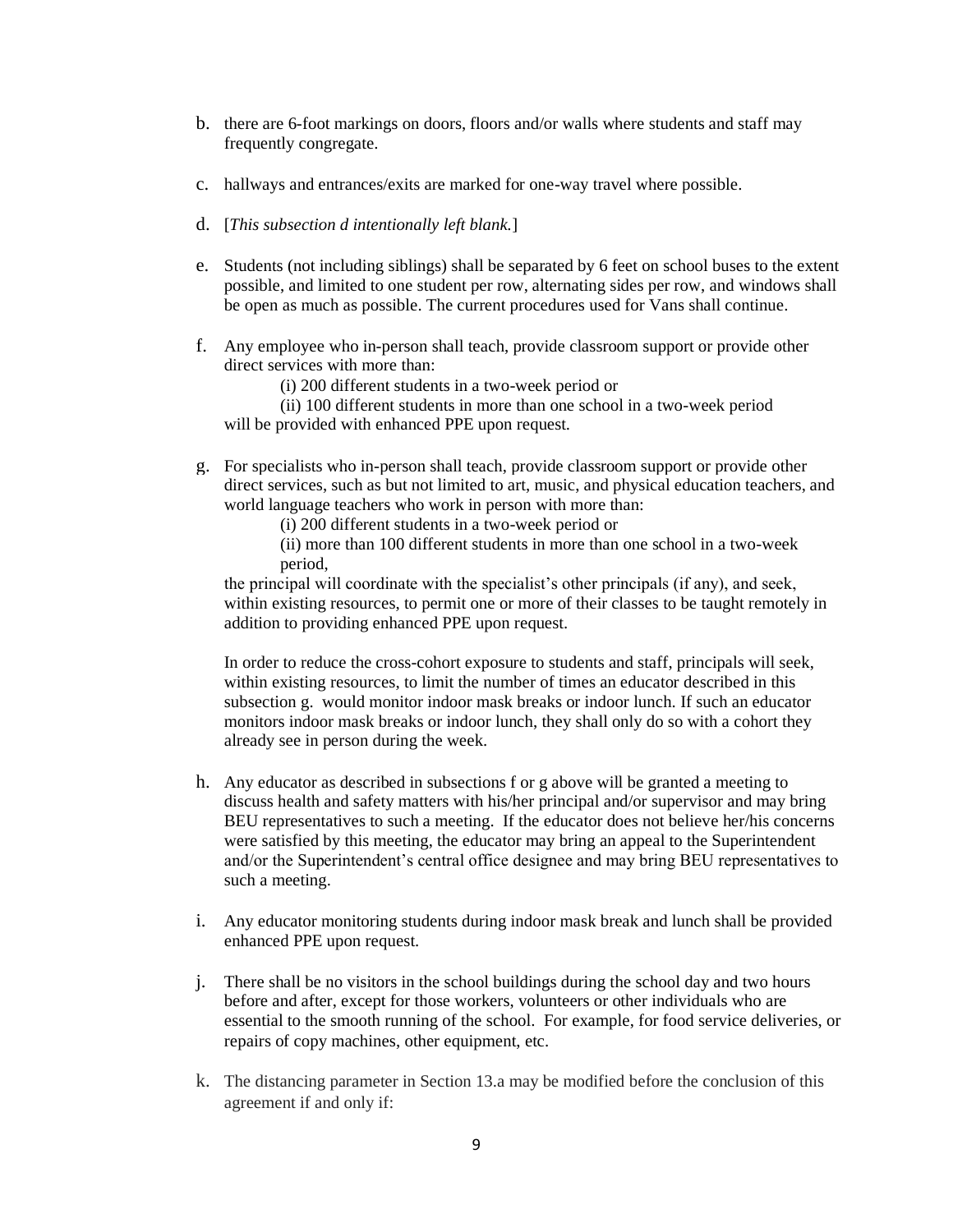- b. there are 6-foot markings on doors, floors and/or walls where students and staff may frequently congregate.
- c. hallways and entrances/exits are marked for one-way travel where possible.
- d. [*This subsection d intentionally left blank.*]
- e. Students (not including siblings) shall be separated by 6 feet on school buses to the extent possible, and limited to one student per row, alternating sides per row, and windows shall be open as much as possible. The current procedures used for Vans shall continue.
- f. Any employee who in-person shall teach, provide classroom support or provide other direct services with more than:

(i) 200 different students in a two-week period or

 (ii) 100 different students in more than one school in a two-week period will be provided with enhanced PPE upon request.

- g. For specialists who in-person shall teach, provide classroom support or provide other direct services, such as but not limited to art, music, and physical education teachers, and world language teachers who work in person with more than:
	- (i) 200 different students in a two-week period or

 (ii) more than 100 different students in more than one school in a two-week period,

the principal will coordinate with the specialist's other principals (if any), and seek, within existing resources, to permit one or more of their classes to be taught remotely in addition to providing enhanced PPE upon request.

In order to reduce the cross-cohort exposure to students and staff, principals will seek, within existing resources, to limit the number of times an educator described in this subsection g. would monitor indoor mask breaks or indoor lunch. If such an educator monitors indoor mask breaks or indoor lunch, they shall only do so with a cohort they already see in person during the week.

- h. Any educator as described in subsections f or g above will be granted a meeting to discuss health and safety matters with his/her principal and/or supervisor and may bring BEU representatives to such a meeting. If the educator does not believe her/his concerns were satisfied by this meeting, the educator may bring an appeal to the Superintendent and/or the Superintendent's central office designee and may bring BEU representatives to such a meeting.
- i. Any educator monitoring students during indoor mask break and lunch shall be provided enhanced PPE upon request.
- j. There shall be no visitors in the school buildings during the school day and two hours before and after, except for those workers, volunteers or other individuals who are essential to the smooth running of the school. For example, for food service deliveries, or repairs of copy machines, other equipment, etc.
- k. The distancing parameter in Section 13.a may be modified before the conclusion of this agreement if and only if: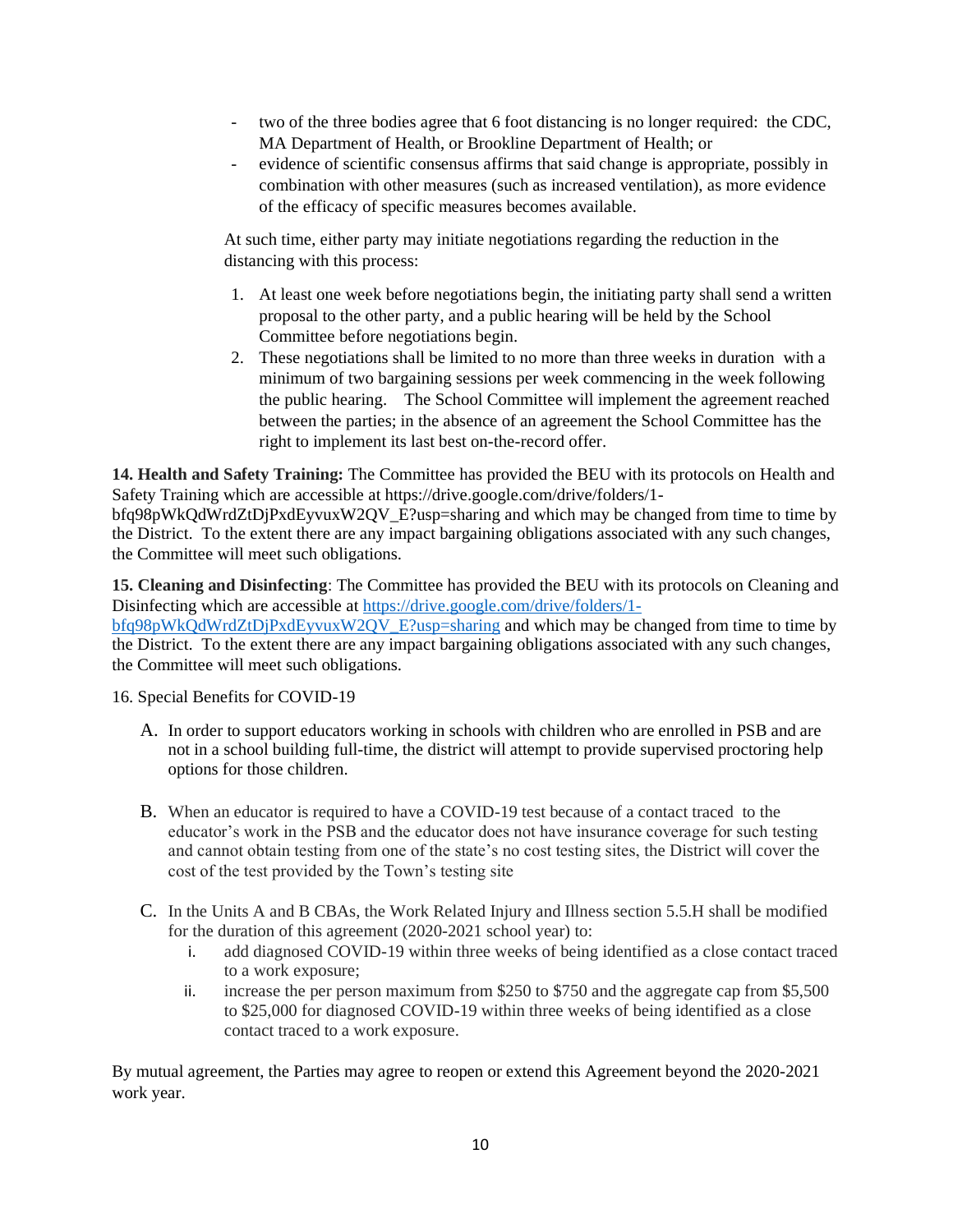- two of the three bodies agree that 6 foot distancing is no longer required: the CDC, MA Department of Health, or Brookline Department of Health; or
- evidence of scientific consensus affirms that said change is appropriate, possibly in combination with other measures (such as increased ventilation), as more evidence of the efficacy of specific measures becomes available.

At such time, either party may initiate negotiations regarding the reduction in the distancing with this process:

- 1. At least one week before negotiations begin, the initiating party shall send a written proposal to the other party, and a public hearing will be held by the School Committee before negotiations begin.
- 2. These negotiations shall be limited to no more than three weeks in duration with a minimum of two bargaining sessions per week commencing in the week following the public hearing. The School Committee will implement the agreement reached between the parties; in the absence of an agreement the School Committee has the right to implement its last best on-the-record offer.

**14. Health and Safety Training:** The Committee has provided the BEU with its protocols on Health and Safety Training which are accessible at https://drive.google.com/drive/folders/1 bfq98pWkQdWrdZtDjPxdEyvuxW2QV\_E?usp=sharing and which may be changed from time to time by the District. To the extent there are any impact bargaining obligations associated with any such changes, the Committee will meet such obligations.

**15. Cleaning and Disinfecting**: The Committee has provided the BEU with its protocols on Cleaning and Disinfecting which are accessible at [https://drive.google.com/drive/folders/1](https://drive.google.com/drive/folders/1-bfq98pWkQdWrdZtDjPxdEyvuxW2QV_E?usp=sharing) [bfq98pWkQdWrdZtDjPxdEyvuxW2QV\\_E?usp=sharing](https://drive.google.com/drive/folders/1-bfq98pWkQdWrdZtDjPxdEyvuxW2QV_E?usp=sharing) and which may be changed from time to time by the District. To the extent there are any impact bargaining obligations associated with any such changes, the Committee will meet such obligations.

16. Special Benefits for COVID-19

- A. In order to support educators working in schools with children who are enrolled in PSB and are not in a school building full-time, the district will attempt to provide supervised proctoring help options for those children.
- B. When an educator is required to have a COVID-19 test because of a contact traced to the educator's work in the PSB and the educator does not have insurance coverage for such testing and cannot obtain testing from one of the state's no cost testing sites, the District will cover the cost of the test provided by the Town's testing site
- C. In the Units A and B CBAs, the Work Related Injury and Illness section 5.5.H shall be modified for the duration of this agreement (2020-2021 school year) to:
	- i. add diagnosed COVID-19 within three weeks of being identified as a close contact traced to a work exposure;
	- ii. increase the per person maximum from \$250 to \$750 and the aggregate cap from \$5,500 to \$25,000 for diagnosed COVID-19 within three weeks of being identified as a close contact traced to a work exposure.

By mutual agreement, the Parties may agree to reopen or extend this Agreement beyond the 2020-2021 work year.